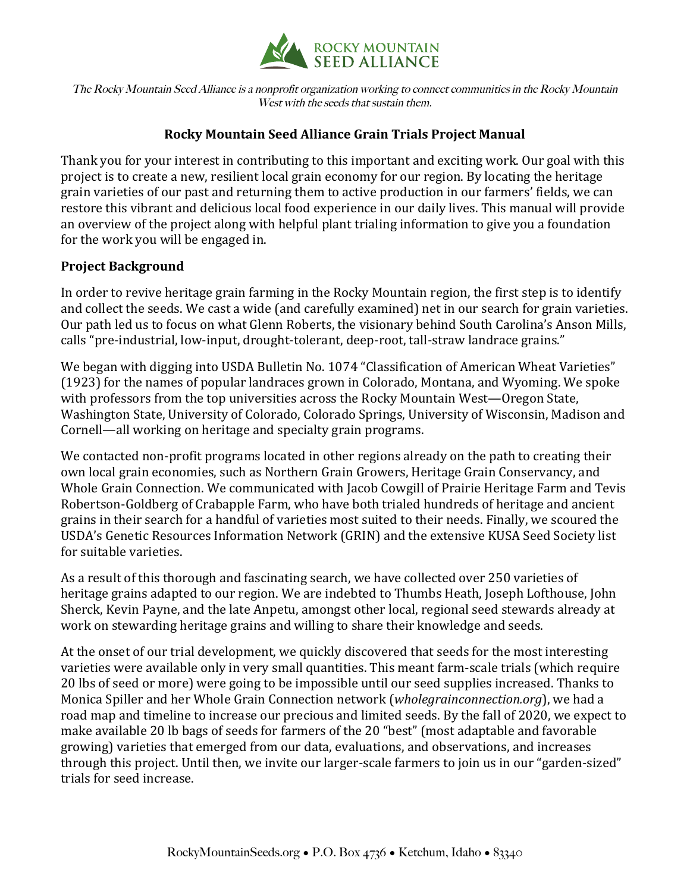

The Rocky Mountain Seed Alliance is a nonprofit organization working to connect communities in the Rocky Mountain West with the seeds that sustain them.

### **Rocky Mountain Seed Alliance Grain Trials Project Manual**

Thank you for your interest in contributing to this important and exciting work. Our goal with this project is to create a new, resilient local grain economy for our region. By locating the heritage grain varieties of our past and returning them to active production in our farmers' fields, we can restore this vibrant and delicious local food experience in our daily lives. This manual will provide an overview of the project along with helpful plant trialing information to give you a foundation for the work you will be engaged in.

#### **Project Background**

In order to revive heritage grain farming in the Rocky Mountain region, the first step is to identify and collect the seeds. We cast a wide (and carefully examined) net in our search for grain varieties. Our path led us to focus on what Glenn Roberts, the visionary behind South Carolina's Anson Mills, calls "pre-industrial, low-input, drought-tolerant, deep-root, tall-straw landrace grains."

We began with digging into USDA Bulletin No. 1074 "Classification of American Wheat Varieties"  $(1923)$  for the names of popular landraces grown in Colorado, Montana, and Wyoming. We spoke with professors from the top universities across the Rocky Mountain West—Oregon State, Washington State, University of Colorado, Colorado Springs, University of Wisconsin, Madison and Cornell—all working on heritage and specialty grain programs.

We contacted non-profit programs located in other regions already on the path to creating their own local grain economies, such as Northern Grain Growers, Heritage Grain Conservancy, and Whole Grain Connection. We communicated with Jacob Cowgill of Prairie Heritage Farm and Tevis Robertson-Goldberg of Crabapple Farm, who have both trialed hundreds of heritage and ancient grains in their search for a handful of varieties most suited to their needs. Finally, we scoured the USDA's Genetic Resources Information Network (GRIN) and the extensive KUSA Seed Society list for suitable varieties.

As a result of this thorough and fascinating search, we have collected over 250 varieties of heritage grains adapted to our region. We are indebted to Thumbs Heath, Joseph Lofthouse, John Sherck, Kevin Payne, and the late Anpetu, amongst other local, regional seed stewards already at work on stewarding heritage grains and willing to share their knowledge and seeds.

At the onset of our trial development, we quickly discovered that seeds for the most interesting varieties were available only in very small quantities. This meant farm-scale trials (which require 20 lbs of seed or more) were going to be impossible until our seed supplies increased. Thanks to Monica Spiller and her Whole Grain Connection network (*wholegrainconnection.org*), we had a road map and timeline to increase our precious and limited seeds. By the fall of 2020, we expect to make available 20 lb bags of seeds for farmers of the 20 "best" (most adaptable and favorable growing) varieties that emerged from our data, evaluations, and observations, and increases through this project. Until then, we invite our larger-scale farmers to join us in our "garden-sized" trials for seed increase.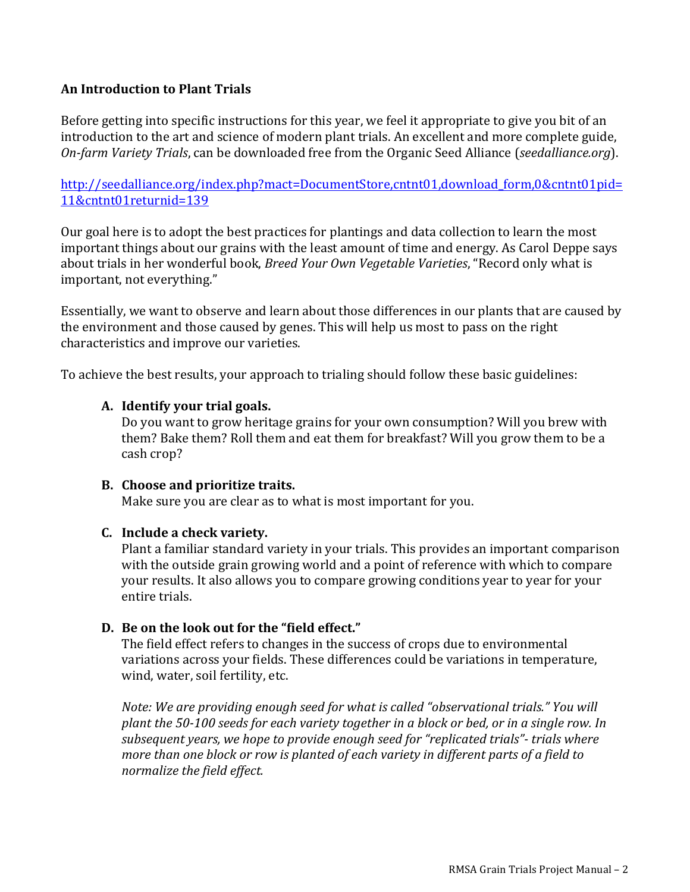### **An Introduction to Plant Trials**

Before getting into specific instructions for this year, we feel it appropriate to give you bit of an introduction to the art and science of modern plant trials. An excellent and more complete guide, *On-farm Variety Trials, can be downloaded free from the Organic Seed Alliance (<i>seedalliance.org*).

http://seedalliance.org/index.php?mact=DocumentStore,cntnt01,download\_form,0&cntnt01pid= 11&cntnt01returnid=139

Our goal here is to adopt the best practices for plantings and data collection to learn the most important things about our grains with the least amount of time and energy. As Carol Deppe says about trials in her wonderful book, *Breed Your Own Vegetable Varieties*, "Record only what is important, not everything."

Essentially, we want to observe and learn about those differences in our plants that are caused by the environment and those caused by genes. This will help us most to pass on the right characteristics and improve our varieties.

To achieve the best results, your approach to trialing should follow these basic guidelines:

#### **A. Identify your trial goals.**

Do you want to grow heritage grains for your own consumption? Will you brew with them? Bake them? Roll them and eat them for breakfast? Will you grow them to be a cash crop?

#### **B.** Choose and prioritize traits.

Make sure you are clear as to what is most important for you.

### **C. Include a check variety.**

Plant a familiar standard variety in your trials. This provides an important comparison with the outside grain growing world and a point of reference with which to compare your results. It also allows you to compare growing conditions year to year for your entire trials.

### **D.** Be on the look out for the "field effect."

The field effect refers to changes in the success of crops due to environmental variations across your fields. These differences could be variations in temperature, wind, water, soil fertility, etc.

*Note: We are providing enough seed for what is called "observational trials." You will plant the 50-100 seeds for each variety together in a block or bed, or in a single row. In subsequent* years, we hope to provide enough seed for "replicated trials"- trials where *more than one block or row is planted of each variety in different parts of a field to normalize the field effect.*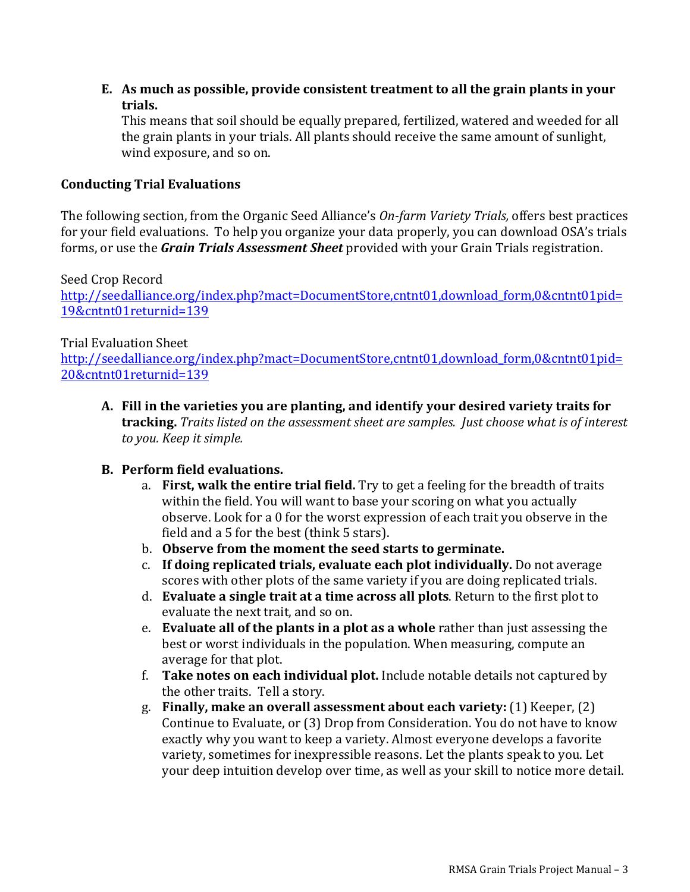**E.** As much as possible, provide consistent treatment to all the grain plants in your **trials.** 

This means that soil should be equally prepared, fertilized, watered and weeded for all the grain plants in your trials. All plants should receive the same amount of sunlight, wind exposure, and so on.

### **Conducting Trial Evaluations**

The following section, from the Organic Seed Alliance's *On-farm Variety Trials*, offers best practices for your field evaluations. To help you organize your data properly, you can download OSA's trials forms, or use the **Grain Trials Assessment Sheet** provided with your Grain Trials registration.

Seed Crop Record http://seedalliance.org/index.php?mact=DocumentStore,cntnt01,download\_form,0&cntnt01pid= 19&cntnt01returnid=139

### Trial Evaluation Sheet

http://seedalliance.org/index.php?mact=DocumentStore,cntnt01,download\_form,0&cntnt01pid= 20&cntnt01returnid=139

A. Fill in the varieties you are planting, and identify your desired variety traits for **tracking.** Traits listed on the assessment sheet are samples. Just choose what is of interest to you. Keep it simple.

### **B. Perform field evaluations.**

- a. **First, walk the entire trial field.** Try to get a feeling for the breadth of traits within the field. You will want to base your scoring on what you actually observe. Look for a 0 for the worst expression of each trait you observe in the field and a 5 for the best (think 5 stars).
- b. Observe from the moment the seed starts to germinate.
- c. If **doing replicated trials, evaluate each plot individually.** Do not average scores with other plots of the same variety if you are doing replicated trials.
- d. **Evaluate a single trait at a time across all plots**. Return to the first plot to evaluate the next trait, and so on.
- e. **Evaluate all of the plants in a plot as a whole** rather than just assessing the best or worst individuals in the population. When measuring, compute an average for that plot.
- f. **Take notes on each individual plot.** Include notable details not captured by the other traits. Tell a story.
- g. Finally, make an overall assessment about each variety: (1) Keeper, (2) Continue to Evaluate, or (3) Drop from Consideration. You do not have to know exactly why you want to keep a variety. Almost everyone develops a favorite variety, sometimes for inexpressible reasons. Let the plants speak to you. Let your deep intuition develop over time, as well as your skill to notice more detail.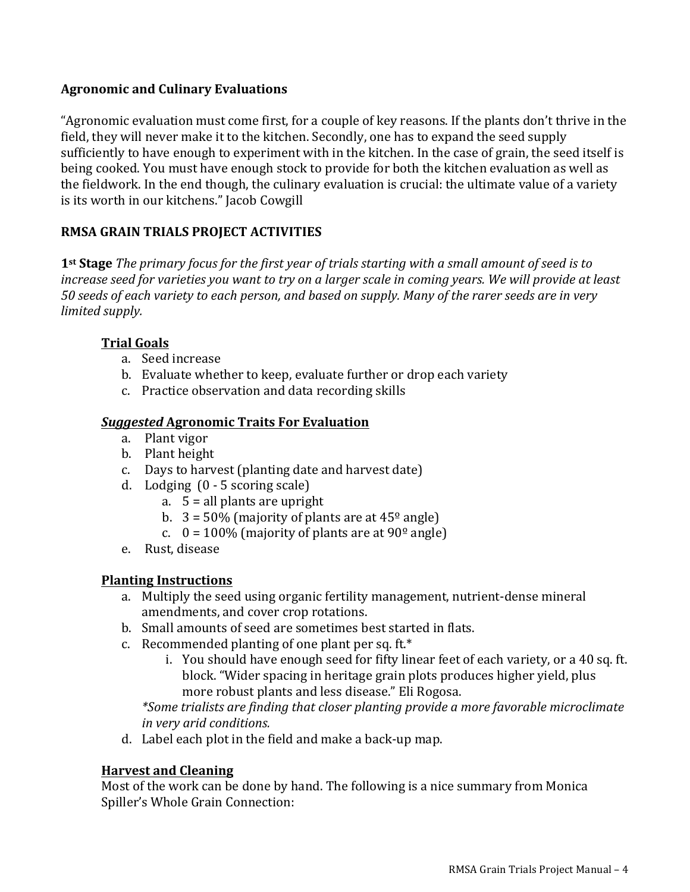### **Agronomic and Culinary Evaluations**

"Agronomic evaluation must come first, for a couple of key reasons. If the plants don't thrive in the field, they will never make it to the kitchen. Secondly, one has to expand the seed supply sufficiently to have enough to experiment with in the kitchen. In the case of grain, the seed itself is being cooked. You must have enough stock to provide for both the kitchen evaluation as well as the fieldwork. In the end though, the culinary evaluation is crucial: the ultimate value of a variety is its worth in our kitchens." Jacob Cowgill

# **RMSA GRAIN TRIALS PROJECT ACTIVITIES**

**1**<sup>st</sup> **Stage** *The primary focus for the first year of trials starting with a small amount of seed is to increase seed for varieties you want to try on a larger scale in coming years. We will provide at least 50 seeds of each variety to each person, and based on supply. Many of the rarer seeds are in very limited supply.*

# **Trial Goals**

- a. Seed increase
- b. Evaluate whether to keep, evaluate further or drop each variety
- c. Practice observation and data recording skills

# *Suggested* **Agronomic Traits For Evaluation**

- a. Plant vigor
- b. Plant height
- c. Days to harvest (planting date and harvest date)
- d. Lodging  $(0 5$  scoring scale)
	- a.  $5 =$  all plants are upright
		- b.  $3 = 50\%$  (majority of plants are at  $45^\circ$  angle)
		- c.  $0 = 100\%$  (majority of plants are at  $90^\circ$  angle)
- e. Rust, disease

# **Planting Instructions**

- a. Multiply the seed using organic fertility management, nutrient-dense mineral amendments, and cover crop rotations.
- b. Small amounts of seed are sometimes best started in flats.
- c. Recommended planting of one plant per sq. ft. $*$ 
	- i. You should have enough seed for fifty linear feet of each variety, or a 40 sq. ft. block. "Wider spacing in heritage grain plots produces higher yield, plus more robust plants and less disease." Eli Rogosa.

\*Some trialists are finding that closer planting provide a more favorable microclimate *in very arid conditions.*

d. Label each plot in the field and make a back-up map.

# **Harvest and Cleaning**

Most of the work can be done by hand. The following is a nice summary from Monica Spiller's Whole Grain Connection: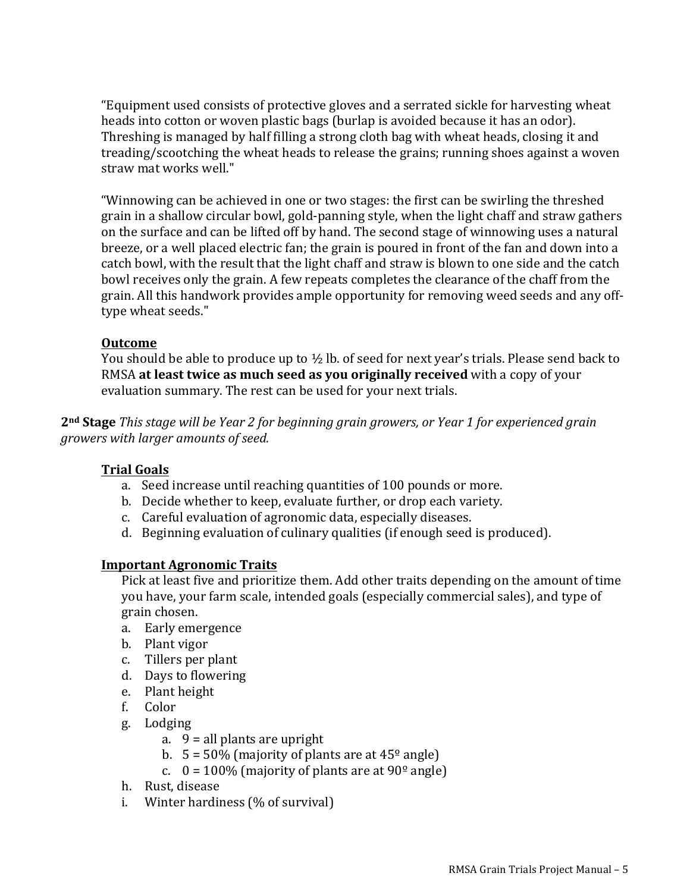"Equipment used consists of protective gloves and a serrated sickle for harvesting wheat heads into cotton or woven plastic bags (burlap is avoided because it has an odor). Threshing is managed by half filling a strong cloth bag with wheat heads, closing it and treading/scootching the wheat heads to release the grains; running shoes against a woven straw mat works well."

"Winnowing can be achieved in one or two stages: the first can be swirling the threshed grain in a shallow circular bowl, gold-panning style, when the light chaff and straw gathers on the surface and can be lifted off by hand. The second stage of winnowing uses a natural breeze, or a well placed electric fan; the grain is poured in front of the fan and down into a catch bowl, with the result that the light chaff and straw is blown to one side and the catch bowl receives only the grain. A few repeats completes the clearance of the chaff from the grain. All this handwork provides ample opportunity for removing weed seeds and any offtype wheat seeds."

### **Outcome**

You should be able to produce up to  $\frac{1}{2}$  lb. of seed for next year's trials. Please send back to RMSA at least twice as much seed as you originally received with a copy of your evaluation summary. The rest can be used for your next trials.

**2<sup>nd</sup> Stage** *This stage will be Year 2 for beginning grain growers, or Year 1 for experienced grain growers* with larger amounts of seed.

### **Trial Goals**

- a. Seed increase until reaching quantities of 100 pounds or more.
- b. Decide whether to keep, evaluate further, or drop each variety.
- c. Careful evaluation of agronomic data, especially diseases.
- d. Beginning evaluation of culinary qualities (if enough seed is produced).

#### **Important Agronomic Traits**

Pick at least five and prioritize them. Add other traits depending on the amount of time you have, your farm scale, intended goals (especially commercial sales), and type of grain chosen.

- a. Early emergence
- b. Plant vigor
- c. Tillers per plant
- d. Days to flowering
- e. Plant height
- f. Color
- g. Lodging
	- a.  $9 =$  all plants are upright
	- b.  $5 = 50\%$  (majority of plants are at  $45^\circ$  angle)
	- c.  $0 = 100\%$  (majority of plants are at  $90^\circ$  angle)
- h. Rust, disease
- i. Winter hardiness (% of survival)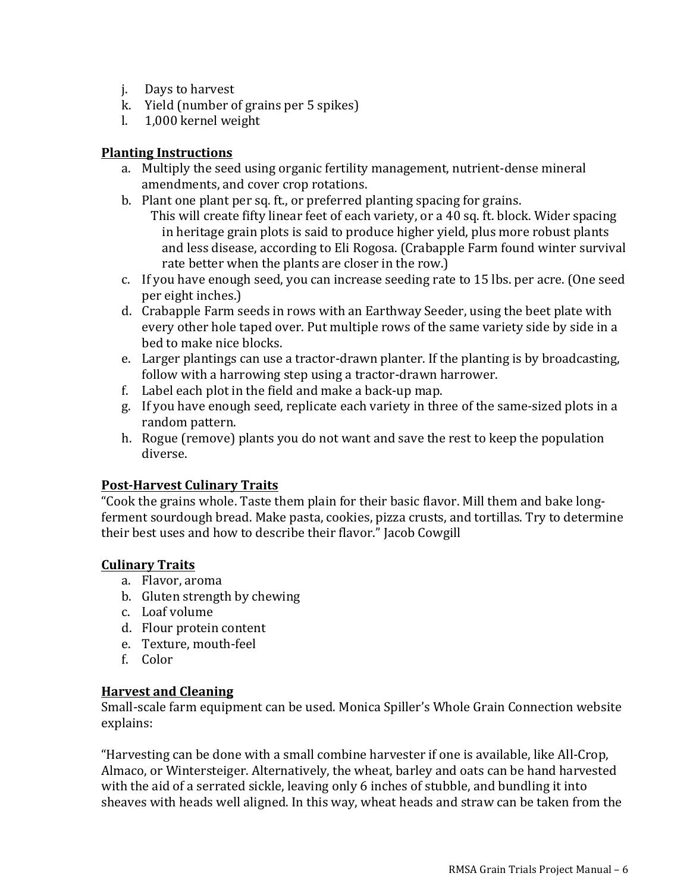- j. Days to harvest
- k. Yield (number of grains per 5 spikes)
- l. 1,000 kernel weight

### **Planting Instructions**

- a. Multiply the seed using organic fertility management, nutrient-dense mineral amendments, and cover crop rotations.
- b. Plant one plant per sq. ft., or preferred planting spacing for grains.
	- This will create fifty linear feet of each variety, or a 40 sq. ft. block. Wider spacing in heritage grain plots is said to produce higher yield, plus more robust plants and less disease, according to Eli Rogosa. (Crabapple Farm found winter survival rate better when the plants are closer in the row.)
- c. If you have enough seed, you can increase seeding rate to 15 lbs. per acre. (One seed per eight inches.)
- d. Crabapple Farm seeds in rows with an Earthway Seeder, using the beet plate with every other hole taped over. Put multiple rows of the same variety side by side in a bed to make nice blocks.
- e. Larger plantings can use a tractor-drawn planter. If the planting is by broadcasting, follow with a harrowing step using a tractor-drawn harrower.
- f. Label each plot in the field and make a back-up map.
- g. If you have enough seed, replicate each variety in three of the same-sized plots in a random pattern.
- h. Rogue (remove) plants you do not want and save the rest to keep the population diverse.

### **Post-Harvest Culinary Traits**

"Cook the grains whole. Taste them plain for their basic flavor. Mill them and bake longferment sourdough bread. Make pasta, cookies, pizza crusts, and tortillas. Try to determine their best uses and how to describe their flavor." Jacob Cowgill

### **Culinary Traits**

- a. Flavor, aroma
- b. Gluten strength by chewing
- c. Loaf volume
- d. Flour protein content
- e. Texture, mouth-feel
- f. Color

### **Harvest and Cleaning**

Small-scale farm equipment can be used. Monica Spiller's Whole Grain Connection website explains: 

"Harvesting can be done with a small combine harvester if one is available, like All-Crop, Almaco, or Wintersteiger. Alternatively, the wheat, barley and oats can be hand harvested with the aid of a serrated sickle, leaving only 6 inches of stubble, and bundling it into sheaves with heads well aligned. In this way, wheat heads and straw can be taken from the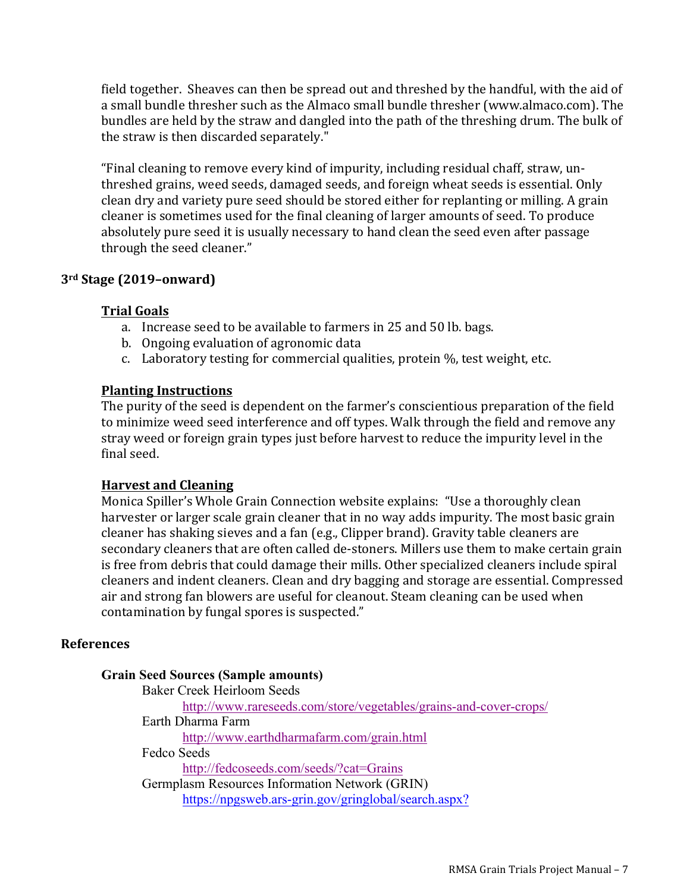field together. Sheaves can then be spread out and threshed by the handful, with the aid of a small bundle thresher such as the Almaco small bundle thresher (www.almaco.com). The bundles are held by the straw and dangled into the path of the threshing drum. The bulk of the straw is then discarded separately."

"Final cleaning to remove every kind of impurity, including residual chaff, straw, unthreshed grains, weed seeds, damaged seeds, and foreign wheat seeds is essential. Only clean dry and variety pure seed should be stored either for replanting or milling. A grain cleaner is sometimes used for the final cleaning of larger amounts of seed. To produce absolutely pure seed it is usually necessary to hand clean the seed even after passage through the seed cleaner."

### **3rd Stage (2019–onward)**

### **Trial Goals**

- a. Increase seed to be available to farmers in 25 and 50 lb. bags.
- b. Ongoing evaluation of agronomic data
- c. Laboratory testing for commercial qualities, protein  $\%$ , test weight, etc.

### **Planting Instructions**

The purity of the seed is dependent on the farmer's conscientious preparation of the field to minimize weed seed interference and off types. Walk through the field and remove any stray weed or foreign grain types just before harvest to reduce the impurity level in the final seed.

### **Harvest and Cleaning**

Monica Spiller's Whole Grain Connection website explains: "Use a thoroughly clean harvester or larger scale grain cleaner that in no way adds impurity. The most basic grain cleaner has shaking sieves and a fan (e.g., Clipper brand). Gravity table cleaners are secondary cleaners that are often called de-stoners. Millers use them to make certain grain is free from debris that could damage their mills. Other specialized cleaners include spiral cleaners and indent cleaners. Clean and dry bagging and storage are essential. Compressed air and strong fan blowers are useful for cleanout. Steam cleaning can be used when contamination by fungal spores is suspected."

### **References**

### **Grain Seed Sources (Sample amounts)**

Baker Creek Heirloom Seeds http://www.rareseeds.com/store/vegetables/grains-and-cover-crops/ Earth Dharma Farm http://www.earthdharmafarm.com/grain.html Fedco Seeds http://fedcoseeds.com/seeds/?cat=Grains Germplasm Resources Information Network (GRIN) https://npgsweb.ars-grin.gov/gringlobal/search.aspx?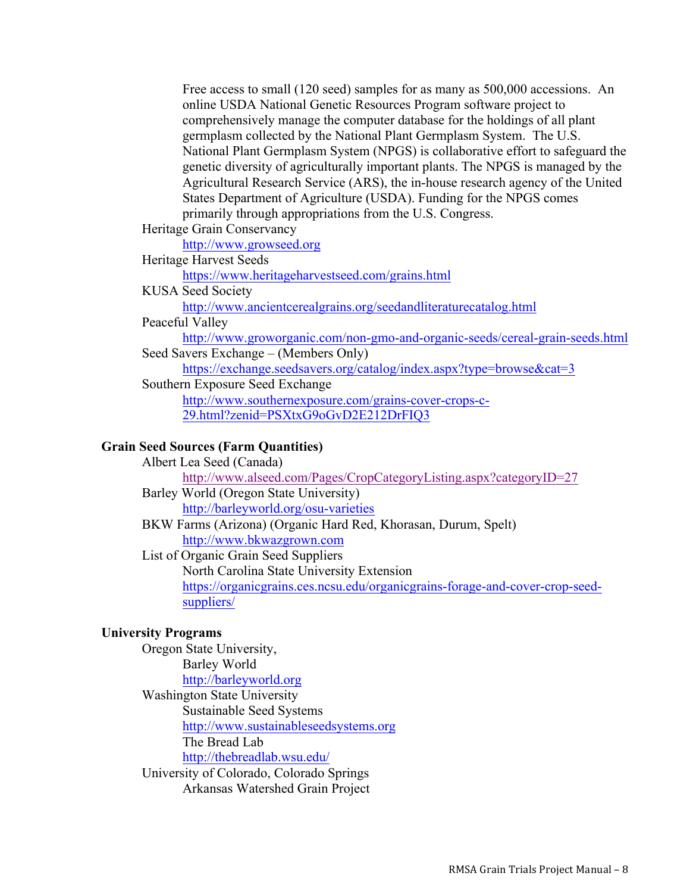Free access to small (120 seed) samples for as many as 500,000 accessions. An online USDA National Genetic Resources Program software project to comprehensively manage the computer database for the holdings of all plant germplasm collected by the National Plant Germplasm System. The U.S. National Plant Germplasm System (NPGS) is collaborative effort to safeguard the genetic diversity of agriculturally important plants. The NPGS is managed by the Agricultural Research Service (ARS), the in-house research agency of the United States Department of Agriculture (USDA). Funding for the NPGS comes primarily through appropriations from the U.S. Congress.

## Heritage Grain Conservancy

http://www.growseed.org

# Heritage Harvest Seeds

https://www.heritageharvestseed.com/grains.html

# KUSA Seed Society

http://www.ancientcerealgrains.org/seedandliteraturecatalog.html

## Peaceful Valley

http://www.groworganic.com/non-gmo-and-organic-seeds/cereal-grain-seeds.html Seed Savers Exchange – (Members Only)

https://exchange.seedsavers.org/catalog/index.aspx?type=browse&cat=3

Southern Exposure Seed Exchange

http://www.southernexposure.com/grains-cover-crops-c-29.html?zenid=PSXtxG9oGvD2E212DrFIQ3

#### **Grain Seed Sources (Farm Quantities)**

Albert Lea Seed (Canada) http://www.alseed.com/Pages/CropCategoryListing.aspx?categoryID=27 Barley World (Oregon State University) http://barleyworld.org/osu-varieties BKW Farms (Arizona) (Organic Hard Red, Khorasan, Durum, Spelt) http://www.bkwazgrown.com List of Organic Grain Seed Suppliers North Carolina State University Extension

https://organicgrains.ces.ncsu.edu/organicgrains-forage-and-cover-crop-seedsuppliers/

#### **University Programs**

Oregon State University,

Barley World http://barleyworld.org

Washington State University Sustainable Seed Systems http://www.sustainableseedsystems.org The Bread Lab http://thebreadlab.wsu.edu/

University of Colorado, Colorado Springs Arkansas Watershed Grain Project